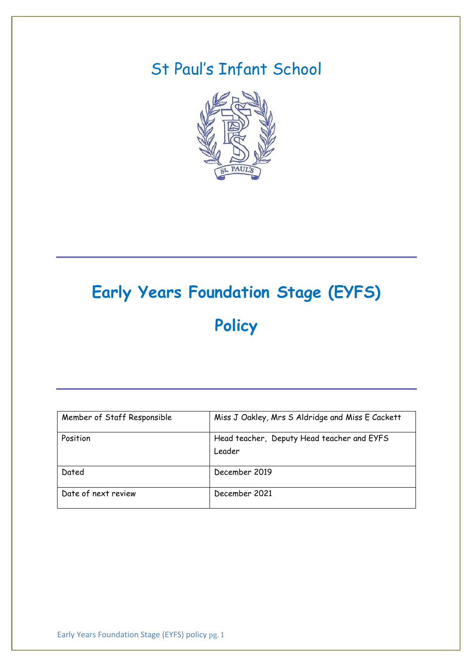# St Paul's Infant School



# **Early Years Foundation Stage (EYFS) Policy**

| Member of Staff Responsible | Miss J Oakley, Mrs S Aldridge and Miss E Cackett     |
|-----------------------------|------------------------------------------------------|
| Position                    | Head teacher, Deputy Head teacher and EYFS<br>Leader |
| Dated                       | December 2019                                        |
| Date of next review         | December 2021                                        |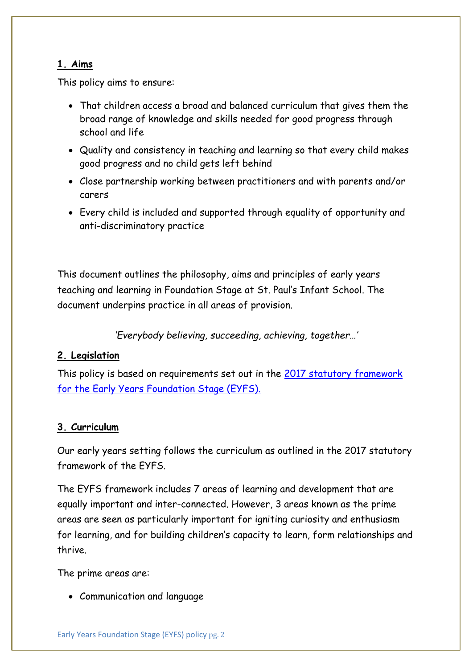#### **1. Aims**

This policy aims to ensure:

- That children access a broad and balanced curriculum that gives them the broad range of knowledge and skills needed for good progress through school and life
- Quality and consistency in teaching and learning so that every child makes good progress and no child gets left behind
- Close partnership working between practitioners and with parents and/or carers
- Every child is included and supported through equality of opportunity and anti-discriminatory practice

This document outlines the philosophy, aims and principles of early years teaching and learning in Foundation Stage at St. Paul's Infant School. The document underpins practice in all areas of provision.

*'Everybody believing, succeeding, achieving, together…'*

### **2. Legislation**

This policy is based on requirements set out in the 2017 statutory framework [for the Early Years Foundation Stage \(EYFS\).](https://www.gov.uk/government/uploads/system/uploads/attachment_data/file/596629/EYFS_STATUTORY_FRAMEWORK_2017.pdf)

#### **3. Curriculum**

Our early years setting follows the curriculum as outlined in the 2017 statutory framework of the EYFS.

The EYFS framework includes 7 areas of learning and development that are equally important and inter-connected. However, 3 areas known as the prime areas are seen as particularly important for igniting curiosity and enthusiasm for learning, and for building children's capacity to learn, form relationships and thrive.

The prime areas are:

Communication and language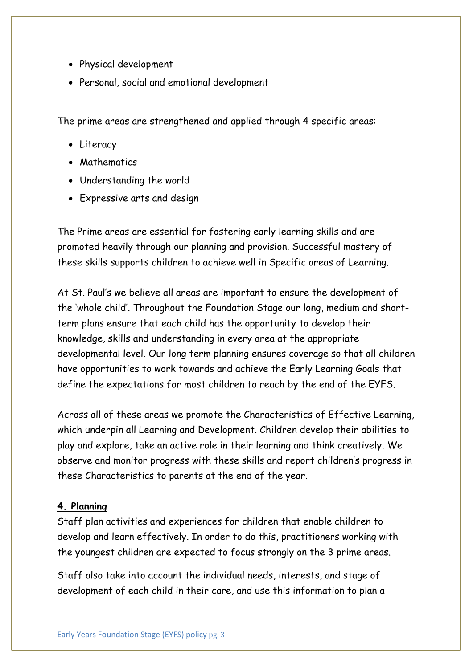- Physical development
- Personal, social and emotional development

The prime areas are strengthened and applied through 4 specific areas:

- Literacy
- Mathematics
- Understanding the world
- Expressive arts and design

The Prime areas are essential for fostering early learning skills and are promoted heavily through our planning and provision. Successful mastery of these skills supports children to achieve well in Specific areas of Learning.

At St. Paul's we believe all areas are important to ensure the development of the 'whole child'. Throughout the Foundation Stage our long, medium and shortterm plans ensure that each child has the opportunity to develop their knowledge, skills and understanding in every area at the appropriate developmental level. Our long term planning ensures coverage so that all children have opportunities to work towards and achieve the Early Learning Goals that define the expectations for most children to reach by the end of the EYFS.

Across all of these areas we promote the Characteristics of Effective Learning, which underpin all Learning and Development. Children develop their abilities to play and explore, take an active role in their learning and think creatively. We observe and monitor progress with these skills and report children's progress in these Characteristics to parents at the end of the year.

#### **4. Planning**

Staff plan activities and experiences for children that enable children to develop and learn effectively. In order to do this, practitioners working with the youngest children are expected to focus strongly on the 3 prime areas.

Staff also take into account the individual needs, interests, and stage of development of each child in their care, and use this information to plan a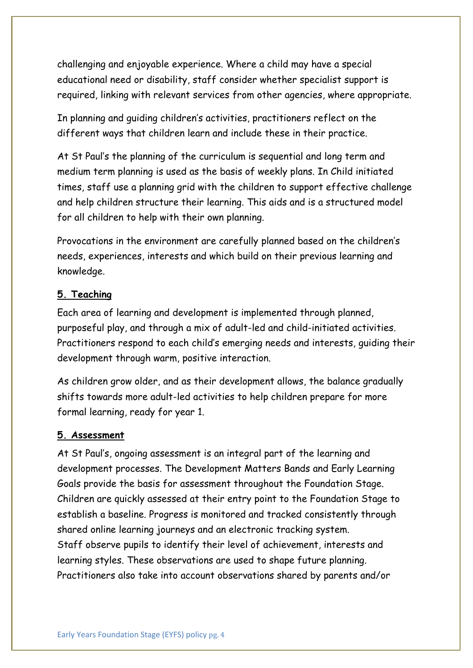challenging and enjoyable experience. Where a child may have a special educational need or disability, staff consider whether specialist support is required, linking with relevant services from other agencies, where appropriate.

In planning and guiding children's activities, practitioners reflect on the different ways that children learn and include these in their practice.

At St Paul's the planning of the curriculum is sequential and long term and medium term planning is used as the basis of weekly plans. In Child initiated times, staff use a planning grid with the children to support effective challenge and help children structure their learning. This aids and is a structured model for all children to help with their own planning.

Provocations in the environment are carefully planned based on the children's needs, experiences, interests and which build on their previous learning and knowledge.

#### **5. Teaching**

Each area of learning and development is implemented through planned, purposeful play, and through a mix of adult-led and child-initiated activities. Practitioners respond to each child's emerging needs and interests, guiding their development through warm, positive interaction.

As children grow older, and as their development allows, the balance gradually shifts towards more adult-led activities to help children prepare for more formal learning, ready for year 1.

#### **5. Assessment**

At St Paul's, ongoing assessment is an integral part of the learning and development processes. The Development Matters Bands and Early Learning Goals provide the basis for assessment throughout the Foundation Stage. Children are quickly assessed at their entry point to the Foundation Stage to establish a baseline. Progress is monitored and tracked consistently through shared online learning journeys and an electronic tracking system. Staff observe pupils to identify their level of achievement, interests and learning styles. These observations are used to shape future planning. Practitioners also take into account observations shared by parents and/or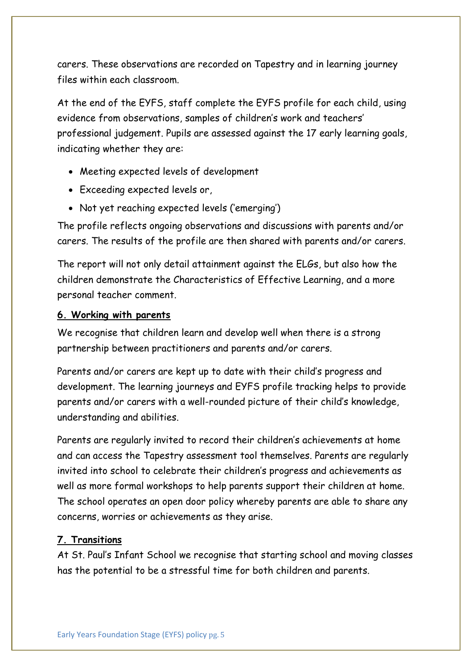carers. These observations are recorded on Tapestry and in learning journey files within each classroom.

At the end of the EYFS, staff complete the EYFS profile for each child, using evidence from observations, samples of children's work and teachers' professional judgement. Pupils are assessed against the 17 early learning goals, indicating whether they are:

- Meeting expected levels of development
- Exceeding expected levels or,
- Not yet reaching expected levels ('emerging')

The profile reflects ongoing observations and discussions with parents and/or carers. The results of the profile are then shared with parents and/or carers.

The report will not only detail attainment against the ELGs, but also how the children demonstrate the Characteristics of Effective Learning, and a more personal teacher comment.

#### **6. Working with parents**

We recognise that children learn and develop well when there is a strong partnership between practitioners and parents and/or carers.

Parents and/or carers are kept up to date with their child's progress and development. The learning journeys and EYFS profile tracking helps to provide parents and/or carers with a well-rounded picture of their child's knowledge, understanding and abilities.

Parents are regularly invited to record their children's achievements at home and can access the Tapestry assessment tool themselves. Parents are regularly invited into school to celebrate their children's progress and achievements as well as more formal workshops to help parents support their children at home. The school operates an open door policy whereby parents are able to share any concerns, worries or achievements as they arise.

#### **7. Transitions**

At St. Paul's Infant School we recognise that starting school and moving classes has the potential to be a stressful time for both children and parents.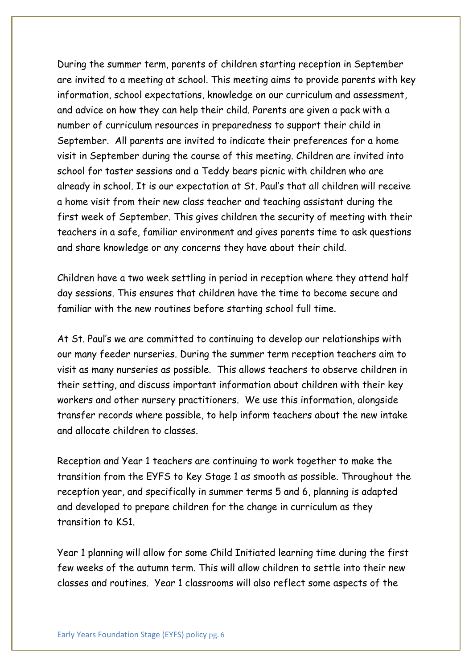During the summer term, parents of children starting reception in September are invited to a meeting at school. This meeting aims to provide parents with key information, school expectations, knowledge on our curriculum and assessment, and advice on how they can help their child. Parents are given a pack with a number of curriculum resources in preparedness to support their child in September. All parents are invited to indicate their preferences for a home visit in September during the course of this meeting. Children are invited into school for taster sessions and a Teddy bears picnic with children who are already in school. It is our expectation at St. Paul's that all children will receive a home visit from their new class teacher and teaching assistant during the first week of September. This gives children the security of meeting with their teachers in a safe, familiar environment and gives parents time to ask questions and share knowledge or any concerns they have about their child.

Children have a two week settling in period in reception where they attend half day sessions. This ensures that children have the time to become secure and familiar with the new routines before starting school full time.

At St. Paul's we are committed to continuing to develop our relationships with our many feeder nurseries. During the summer term reception teachers aim to visit as many nurseries as possible. This allows teachers to observe children in their setting, and discuss important information about children with their key workers and other nursery practitioners. We use this information, alongside transfer records where possible, to help inform teachers about the new intake and allocate children to classes.

Reception and Year 1 teachers are continuing to work together to make the transition from the EYFS to Key Stage 1 as smooth as possible. Throughout the reception year, and specifically in summer terms 5 and 6, planning is adapted and developed to prepare children for the change in curriculum as they transition to KS1.

Year 1 planning will allow for some Child Initiated learning time during the first few weeks of the autumn term. This will allow children to settle into their new classes and routines. Year 1 classrooms will also reflect some aspects of the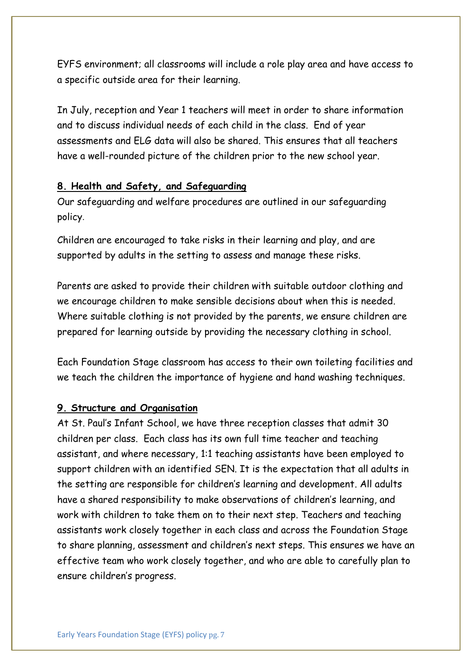EYFS environment; all classrooms will include a role play area and have access to a specific outside area for their learning.

In July, reception and Year 1 teachers will meet in order to share information and to discuss individual needs of each child in the class. End of year assessments and ELG data will also be shared. This ensures that all teachers have a well-rounded picture of the children prior to the new school year.

#### **8. Health and Safety, and Safeguarding**

Our safeguarding and welfare procedures are outlined in our safeguarding policy.

Children are encouraged to take risks in their learning and play, and are supported by adults in the setting to assess and manage these risks.

Parents are asked to provide their children with suitable outdoor clothing and we encourage children to make sensible decisions about when this is needed. Where suitable clothing is not provided by the parents, we ensure children are prepared for learning outside by providing the necessary clothing in school.

Each Foundation Stage classroom has access to their own toileting facilities and we teach the children the importance of hygiene and hand washing techniques.

#### **9. Structure and Organisation**

At St. Paul's Infant School, we have three reception classes that admit 30 children per class. Each class has its own full time teacher and teaching assistant, and where necessary, 1:1 teaching assistants have been employed to support children with an identified SEN. It is the expectation that all adults in the setting are responsible for children's learning and development. All adults have a shared responsibility to make observations of children's learning, and work with children to take them on to their next step. Teachers and teaching assistants work closely together in each class and across the Foundation Stage to share planning, assessment and children's next steps. This ensures we have an effective team who work closely together, and who are able to carefully plan to ensure children's progress.